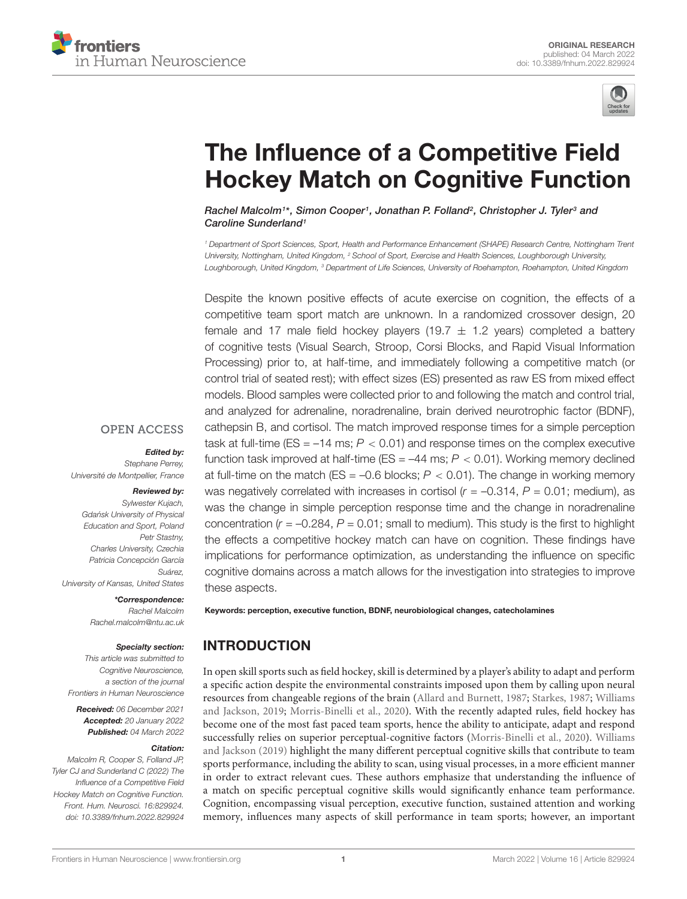



# The Influence of a Competitive Field [Hockey Match on Cognitive Function](https://www.frontiersin.org/articles/10.3389/fnhum.2022.829924/full)

Rachel Malcolm1\*, Simon Cooper1, Jonathan P. Folland<sup>2</sup>, Christopher J. Tyler<sup>3</sup> and Caroline Sunderland<sup>1</sup>

<sup>1</sup> Department of Sport Sciences, Sport, Health and Performance Enhancement (SHAPE) Research Centre, Nottingham Trent University, Nottingham, United Kingdom, <sup>2</sup> School of Sport, Exercise and Health Sciences, Loughborough University, Loughborough, United Kingdom, <sup>3</sup> Department of Life Sciences, University of Roehampton, Roehampton, United Kingdom

Despite the known positive effects of acute exercise on cognition, the effects of a competitive team sport match are unknown. In a randomized crossover design, 20 female and 17 male field hockey players (19.7  $\pm$  1.2 years) completed a battery of cognitive tests (Visual Search, Stroop, Corsi Blocks, and Rapid Visual Information Processing) prior to, at half-time, and immediately following a competitive match (or control trial of seated rest); with effect sizes (ES) presented as raw ES from mixed effect models. Blood samples were collected prior to and following the match and control trial, and analyzed for adrenaline, noradrenaline, brain derived neurotrophic factor (BDNF), cathepsin B, and cortisol. The match improved response times for a simple perception task at full-time (ES =  $-14$  ms;  $P < 0.01$ ) and response times on the complex executive function task improved at half-time ( $ES = -44$  ms;  $P < 0.01$ ). Working memory declined at full-time on the match (ES =  $-0.6$  blocks;  $P < 0.01$ ). The change in working memory was negatively correlated with increases in cortisol ( $r = -0.314$ ,  $P = 0.01$ ; medium), as was the change in simple perception response time and the change in noradrenaline concentration ( $r = -0.284$ ,  $P = 0.01$ ; small to medium). This study is the first to highlight the effects a competitive hockey match can have on cognition. These findings have implications for performance optimization, as understanding the influence on specific cognitive domains across a match allows for the investigation into strategies to improve these aspects.

Keywords: perception, executive function, BDNF, neurobiological changes, catecholamines

# INTRODUCTION

In open skill sports such as field hockey, skill is determined by a player's ability to adapt and perform a specific action despite the environmental constraints imposed upon them by calling upon neural resources from changeable regions of the brain [\(Allard and Burnett,](#page-9-0) [1987;](#page-9-0) [Starkes,](#page-10-0) [1987;](#page-10-0) [Williams](#page-10-1) [and Jackson,](#page-10-1) [2019;](#page-10-1) [Morris-Binelli et al.,](#page-10-2) [2020\)](#page-10-2). With the recently adapted rules, field hockey has become one of the most fast paced team sports, hence the ability to anticipate, adapt and respond successfully relies on superior perceptual-cognitive factors [\(Morris-Binelli et al.,](#page-10-2) [2020\)](#page-10-2). [Williams](#page-10-1) [and Jackson](#page-10-1) [\(2019\)](#page-10-1) highlight the many different perceptual cognitive skills that contribute to team sports performance, including the ability to scan, using visual processes, in a more efficient manner in order to extract relevant cues. These authors emphasize that understanding the influence of a match on specific perceptual cognitive skills would significantly enhance team performance. Cognition, encompassing visual perception, executive function, sustained attention and working memory, influences many aspects of skill performance in team sports; however, an important

## **OPEN ACCESS**

#### Edited by:

Stephane Perrey, Université de Montpellier, France

#### Reviewed by:

Sylwester Kujach, Gdańsk University of Physical Education and Sport, Poland Petr Stastny, Charles University, Czechia Patricia Concepción García Suárez, University of Kansas, United States

# \*Correspondence:

Rachel Malcolm Rachel.malcolm@ntu.ac.uk

#### Specialty section:

This article was submitted to Cognitive Neuroscience, a section of the journal Frontiers in Human Neuroscience

Received: 06 December 2021 Accepted: 20 January 2022 Published: 04 March 2022

#### Citation:

Malcolm R, Cooper S, Folland JP, Tyler CJ and Sunderland C (2022) The Influence of a Competitive Field Hockey Match on Cognitive Function. Front. Hum. Neurosci. 16:829924. doi: [10.3389/fnhum.2022.829924](https://doi.org/10.3389/fnhum.2022.829924)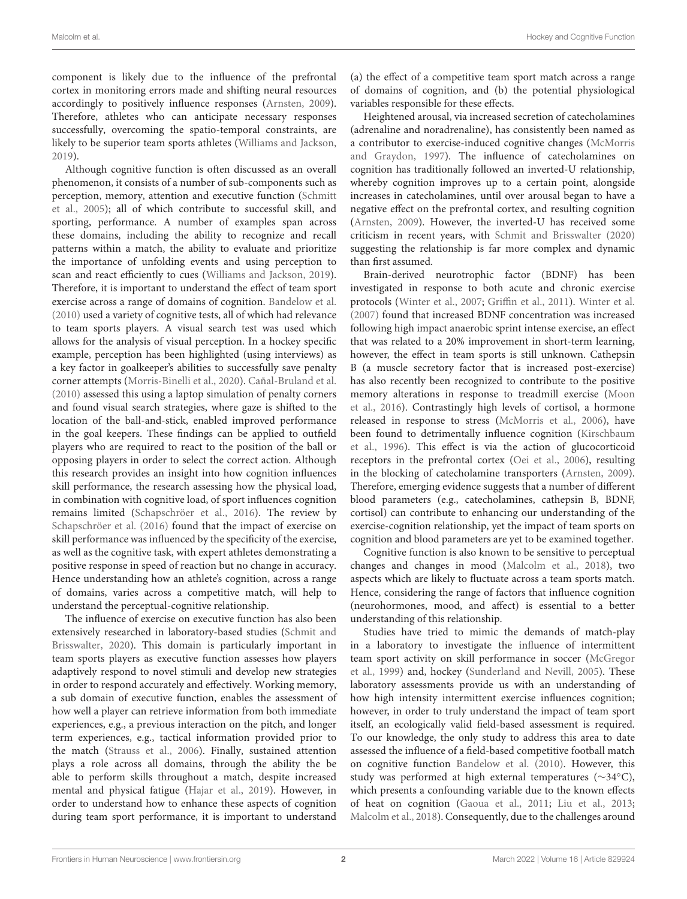component is likely due to the influence of the prefrontal cortex in monitoring errors made and shifting neural resources accordingly to positively influence responses [\(Arnsten,](#page-9-1) [2009\)](#page-9-1). Therefore, athletes who can anticipate necessary responses successfully, overcoming the spatio-temporal constraints, are likely to be superior team sports athletes [\(Williams and Jackson,](#page-10-1) [2019\)](#page-10-1).

Although cognitive function is often discussed as an overall phenomenon, it consists of a number of sub-components such as perception, memory, attention and executive function [\(Schmitt](#page-10-3) [et al.,](#page-10-3) [2005\)](#page-10-3); all of which contribute to successful skill, and sporting, performance. A number of examples span across these domains, including the ability to recognize and recall patterns within a match, the ability to evaluate and prioritize the importance of unfolding events and using perception to scan and react efficiently to cues [\(Williams and Jackson,](#page-10-1) [2019\)](#page-10-1). Therefore, it is important to understand the effect of team sport exercise across a range of domains of cognition. [Bandelow et al.](#page-9-2) [\(2010\)](#page-9-2) used a variety of cognitive tests, all of which had relevance to team sports players. A visual search test was used which allows for the analysis of visual perception. In a hockey specific example, perception has been highlighted (using interviews) as a key factor in goalkeeper's abilities to successfully save penalty corner attempts [\(Morris-Binelli et al.,](#page-10-2) [2020\)](#page-10-2). [Cañal-Bruland et al.](#page-9-3) [\(2010\)](#page-9-3) assessed this using a laptop simulation of penalty corners and found visual search strategies, where gaze is shifted to the location of the ball-and-stick, enabled improved performance in the goal keepers. These findings can be applied to outfield players who are required to react to the position of the ball or opposing players in order to select the correct action. Although this research provides an insight into how cognition influences skill performance, the research assessing how the physical load, in combination with cognitive load, of sport influences cognition remains limited [\(Schapschröer et al.,](#page-10-4) [2016\)](#page-10-4). The review by [Schapschröer et al.](#page-10-4) [\(2016\)](#page-10-4) found that the impact of exercise on skill performance was influenced by the specificity of the exercise, as well as the cognitive task, with expert athletes demonstrating a positive response in speed of reaction but no change in accuracy. Hence understanding how an athlete's cognition, across a range of domains, varies across a competitive match, will help to understand the perceptual-cognitive relationship.

The influence of exercise on executive function has also been extensively researched in laboratory-based studies [\(Schmit and](#page-10-5) [Brisswalter,](#page-10-5) [2020\)](#page-10-5). This domain is particularly important in team sports players as executive function assesses how players adaptively respond to novel stimuli and develop new strategies in order to respond accurately and effectively. Working memory, a sub domain of executive function, enables the assessment of how well a player can retrieve information from both immediate experiences, e.g., a previous interaction on the pitch, and longer term experiences, e.g., tactical information provided prior to the match [\(Strauss et al.,](#page-10-6) [2006\)](#page-10-6). Finally, sustained attention plays a role across all domains, through the ability the be able to perform skills throughout a match, despite increased mental and physical fatigue [\(Hajar et al.,](#page-10-7) [2019\)](#page-10-7). However, in order to understand how to enhance these aspects of cognition during team sport performance, it is important to understand

(a) the effect of a competitive team sport match across a range of domains of cognition, and (b) the potential physiological variables responsible for these effects.

Heightened arousal, via increased secretion of catecholamines (adrenaline and noradrenaline), has consistently been named as a contributor to exercise-induced cognitive changes [\(McMorris](#page-10-8) [and Graydon,](#page-10-8) [1997\)](#page-10-8). The influence of catecholamines on cognition has traditionally followed an inverted-U relationship, whereby cognition improves up to a certain point, alongside increases in catecholamines, until over arousal began to have a negative effect on the prefrontal cortex, and resulting cognition [\(Arnsten,](#page-9-1) [2009\)](#page-9-1). However, the inverted-U has received some criticism in recent years, with [Schmit and Brisswalter](#page-10-5) [\(2020\)](#page-10-5) suggesting the relationship is far more complex and dynamic than first assumed.

Brain-derived neurotrophic factor (BDNF) has been investigated in response to both acute and chronic exercise protocols [\(Winter et al.,](#page-10-9) [2007;](#page-10-9) [Griffin et al.,](#page-10-10) [2011\)](#page-10-10). [Winter et al.](#page-10-9) [\(2007\)](#page-10-9) found that increased BDNF concentration was increased following high impact anaerobic sprint intense exercise, an effect that was related to a 20% improvement in short-term learning, however, the effect in team sports is still unknown. Cathepsin B (a muscle secretory factor that is increased post-exercise) has also recently been recognized to contribute to the positive memory alterations in response to treadmill exercise [\(Moon](#page-10-11) [et al.,](#page-10-11) [2016\)](#page-10-11). Contrastingly high levels of cortisol, a hormone released in response to stress [\(McMorris et al.,](#page-10-12) [2006\)](#page-10-12), have been found to detrimentally influence cognition [\(Kirschbaum](#page-10-13) [et al.,](#page-10-13) [1996\)](#page-10-13). This effect is via the action of glucocorticoid receptors in the prefrontal cortex [\(Oei et al.,](#page-10-14) [2006\)](#page-10-14), resulting in the blocking of catecholamine transporters [\(Arnsten,](#page-9-1) [2009\)](#page-9-1). Therefore, emerging evidence suggests that a number of different blood parameters (e.g., catecholamines, cathepsin B, BDNF, cortisol) can contribute to enhancing our understanding of the exercise-cognition relationship, yet the impact of team sports on cognition and blood parameters are yet to be examined together.

Cognitive function is also known to be sensitive to perceptual changes and changes in mood [\(Malcolm et al.,](#page-10-15) [2018\)](#page-10-15), two aspects which are likely to fluctuate across a team sports match. Hence, considering the range of factors that influence cognition (neurohormones, mood, and affect) is essential to a better understanding of this relationship.

Studies have tried to mimic the demands of match-play in a laboratory to investigate the influence of intermittent team sport activity on skill performance in soccer [\(McGregor](#page-10-16) [et al.,](#page-10-16) [1999\)](#page-10-16) and, hockey [\(Sunderland and Nevill,](#page-10-17) [2005\)](#page-10-17). These laboratory assessments provide us with an understanding of how high intensity intermittent exercise influences cognition; however, in order to truly understand the impact of team sport itself, an ecologically valid field-based assessment is required. To our knowledge, the only study to address this area to date assessed the influence of a field-based competitive football match on cognitive function [Bandelow et al.](#page-9-2) [\(2010\)](#page-9-2). However, this study was performed at high external temperatures (∼34◦C), which presents a confounding variable due to the known effects of heat on cognition [\(Gaoua et al.,](#page-10-18) [2011;](#page-10-18) [Liu et al.,](#page-10-19) [2013;](#page-10-19) [Malcolm et al.,](#page-10-15) [2018\)](#page-10-15). Consequently, due to the challenges around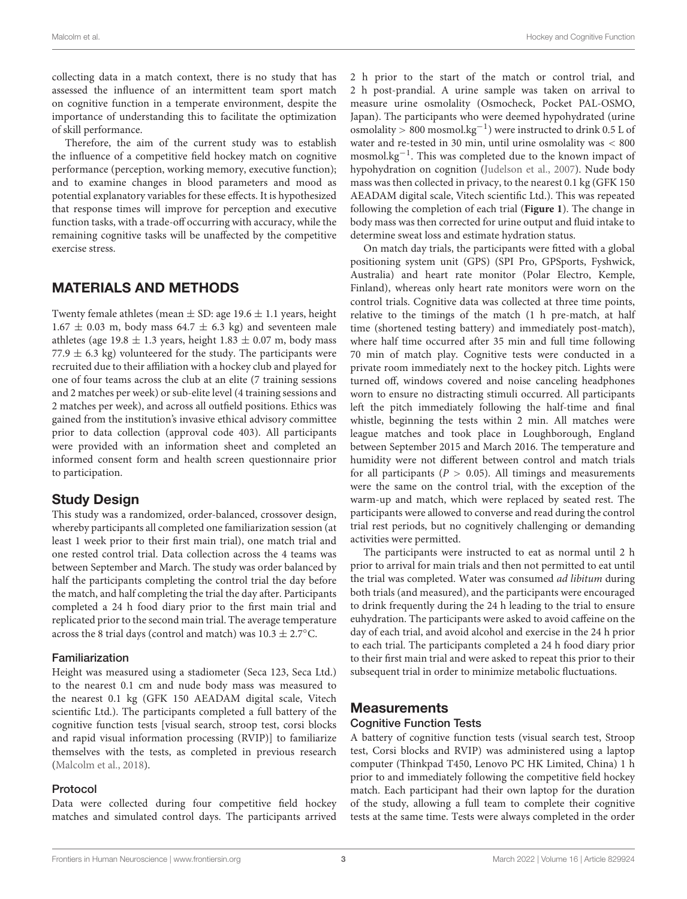collecting data in a match context, there is no study that has assessed the influence of an intermittent team sport match on cognitive function in a temperate environment, despite the importance of understanding this to facilitate the optimization of skill performance.

Therefore, the aim of the current study was to establish the influence of a competitive field hockey match on cognitive performance (perception, working memory, executive function); and to examine changes in blood parameters and mood as potential explanatory variables for these effects. It is hypothesized that response times will improve for perception and executive function tasks, with a trade-off occurring with accuracy, while the remaining cognitive tasks will be unaffected by the competitive exercise stress.

# MATERIALS AND METHODS

Twenty female athletes (mean  $\pm$  SD: age 19.6  $\pm$  1.1 years, height  $1.67 \pm 0.03$  m, body mass  $64.7 \pm 6.3$  kg) and seventeen male athletes (age 19.8  $\pm$  1.3 years, height 1.83  $\pm$  0.07 m, body mass 77.9  $\pm$  6.3 kg) volunteered for the study. The participants were recruited due to their affiliation with a hockey club and played for one of four teams across the club at an elite (7 training sessions and 2 matches per week) or sub-elite level (4 training sessions and 2 matches per week), and across all outfield positions. Ethics was gained from the institution's invasive ethical advisory committee prior to data collection (approval code 403). All participants were provided with an information sheet and completed an informed consent form and health screen questionnaire prior to participation.

# Study Design

This study was a randomized, order-balanced, crossover design, whereby participants all completed one familiarization session (at least 1 week prior to their first main trial), one match trial and one rested control trial. Data collection across the 4 teams was between September and March. The study was order balanced by half the participants completing the control trial the day before the match, and half completing the trial the day after. Participants completed a 24 h food diary prior to the first main trial and replicated prior to the second main trial. The average temperature across the 8 trial days (control and match) was  $10.3 \pm 2.7$ °C.

# Familiarization

Height was measured using a stadiometer (Seca 123, Seca Ltd.) to the nearest 0.1 cm and nude body mass was measured to the nearest 0.1 kg (GFK 150 AEADAM digital scale, Vitech scientific Ltd.). The participants completed a full battery of the cognitive function tests [visual search, stroop test, corsi blocks and rapid visual information processing (RVIP)] to familiarize themselves with the tests, as completed in previous research [\(Malcolm et al.,](#page-10-15) [2018\)](#page-10-15).

## Protocol

Data were collected during four competitive field hockey matches and simulated control days. The participants arrived 2 h prior to the start of the match or control trial, and 2 h post-prandial. A urine sample was taken on arrival to measure urine osmolality (Osmocheck, Pocket PAL-OSMO, Japan). The participants who were deemed hypohydrated (urine osmolality > 800 mosmol.kg−<sup>1</sup> ) were instructed to drink 0.5 L of water and re-tested in 30 min, until urine osmolality was < 800 mosmol.kg−<sup>1</sup> . This was completed due to the known impact of hypohydration on cognition [\(Judelson et al.,](#page-10-20) [2007\)](#page-10-20). Nude body mass was then collected in privacy, to the nearest 0.1 kg (GFK 150 AEADAM digital scale, Vitech scientific Ltd.). This was repeated following the completion of each trial (**[Figure 1](#page-3-0)**). The change in body mass was then corrected for urine output and fluid intake to determine sweat loss and estimate hydration status.

On match day trials, the participants were fitted with a global positioning system unit (GPS) (SPI Pro, GPSports, Fyshwick, Australia) and heart rate monitor (Polar Electro, Kemple, Finland), whereas only heart rate monitors were worn on the control trials. Cognitive data was collected at three time points, relative to the timings of the match (1 h pre-match, at half time (shortened testing battery) and immediately post-match), where half time occurred after 35 min and full time following 70 min of match play. Cognitive tests were conducted in a private room immediately next to the hockey pitch. Lights were turned off, windows covered and noise canceling headphones worn to ensure no distracting stimuli occurred. All participants left the pitch immediately following the half-time and final whistle, beginning the tests within 2 min. All matches were league matches and took place in Loughborough, England between September 2015 and March 2016. The temperature and humidity were not different between control and match trials for all participants ( $P > 0.05$ ). All timings and measurements were the same on the control trial, with the exception of the warm-up and match, which were replaced by seated rest. The participants were allowed to converse and read during the control trial rest periods, but no cognitively challenging or demanding activities were permitted.

The participants were instructed to eat as normal until 2 h prior to arrival for main trials and then not permitted to eat until the trial was completed. Water was consumed ad libitum during both trials (and measured), and the participants were encouraged to drink frequently during the 24 h leading to the trial to ensure euhydration. The participants were asked to avoid caffeine on the day of each trial, and avoid alcohol and exercise in the 24 h prior to each trial. The participants completed a 24 h food diary prior to their first main trial and were asked to repeat this prior to their subsequent trial in order to minimize metabolic fluctuations.

# **Measurements** Cognitive Function Tests

A battery of cognitive function tests (visual search test, Stroop test, Corsi blocks and RVIP) was administered using a laptop computer (Thinkpad T450, Lenovo PC HK Limited, China) 1 h prior to and immediately following the competitive field hockey match. Each participant had their own laptop for the duration of the study, allowing a full team to complete their cognitive tests at the same time. Tests were always completed in the order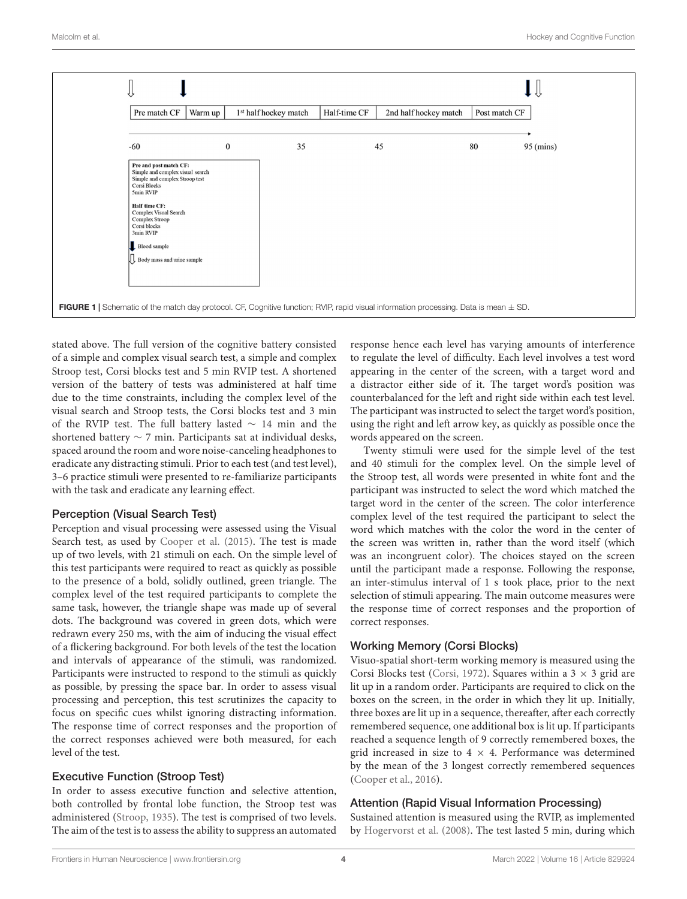

<span id="page-3-0"></span>stated above. The full version of the cognitive battery consisted of a simple and complex visual search test, a simple and complex Stroop test, Corsi blocks test and 5 min RVIP test. A shortened version of the battery of tests was administered at half time due to the time constraints, including the complex level of the visual search and Stroop tests, the Corsi blocks test and 3 min of the RVIP test. The full battery lasted ∼ 14 min and the shortened battery ∼ 7 min. Participants sat at individual desks, spaced around the room and wore noise-canceling headphones to eradicate any distracting stimuli. Prior to each test (and test level), 3–6 practice stimuli were presented to re-familiarize participants with the task and eradicate any learning effect.

## Perception (Visual Search Test)

Perception and visual processing were assessed using the Visual Search test, as used by [Cooper et al.](#page-9-4) [\(2015\)](#page-9-4). The test is made up of two levels, with 21 stimuli on each. On the simple level of this test participants were required to react as quickly as possible to the presence of a bold, solidly outlined, green triangle. The complex level of the test required participants to complete the same task, however, the triangle shape was made up of several dots. The background was covered in green dots, which were redrawn every 250 ms, with the aim of inducing the visual effect of a flickering background. For both levels of the test the location and intervals of appearance of the stimuli, was randomized. Participants were instructed to respond to the stimuli as quickly as possible, by pressing the space bar. In order to assess visual processing and perception, this test scrutinizes the capacity to focus on specific cues whilst ignoring distracting information. The response time of correct responses and the proportion of the correct responses achieved were both measured, for each level of the test.

## Executive Function (Stroop Test)

In order to assess executive function and selective attention, both controlled by frontal lobe function, the Stroop test was administered [\(Stroop,](#page-10-21) [1935\)](#page-10-21). The test is comprised of two levels. The aim of the test is to assess the ability to suppress an automated response hence each level has varying amounts of interference to regulate the level of difficulty. Each level involves a test word appearing in the center of the screen, with a target word and a distractor either side of it. The target word's position was counterbalanced for the left and right side within each test level. The participant was instructed to select the target word's position, using the right and left arrow key, as quickly as possible once the words appeared on the screen.

Twenty stimuli were used for the simple level of the test and 40 stimuli for the complex level. On the simple level of the Stroop test, all words were presented in white font and the participant was instructed to select the word which matched the target word in the center of the screen. The color interference complex level of the test required the participant to select the word which matches with the color the word in the center of the screen was written in, rather than the word itself (which was an incongruent color). The choices stayed on the screen until the participant made a response. Following the response, an inter-stimulus interval of 1 s took place, prior to the next selection of stimuli appearing. The main outcome measures were the response time of correct responses and the proportion of correct responses.

## Working Memory (Corsi Blocks)

Visuo-spatial short-term working memory is measured using the Corsi Blocks test [\(Corsi,](#page-10-22) [1972\)](#page-10-22). Squares within a  $3 \times 3$  grid are lit up in a random order. Participants are required to click on the boxes on the screen, in the order in which they lit up. Initially, three boxes are lit up in a sequence, thereafter, after each correctly remembered sequence, one additional box is lit up. If participants reached a sequence length of 9 correctly remembered boxes, the grid increased in size to  $4 \times 4$ . Performance was determined by the mean of the 3 longest correctly remembered sequences [\(Cooper et al.,](#page-10-23) [2016\)](#page-10-23).

## Attention (Rapid Visual Information Processing)

Sustained attention is measured using the RVIP, as implemented by [Hogervorst et al.](#page-10-24) [\(2008\)](#page-10-24). The test lasted 5 min, during which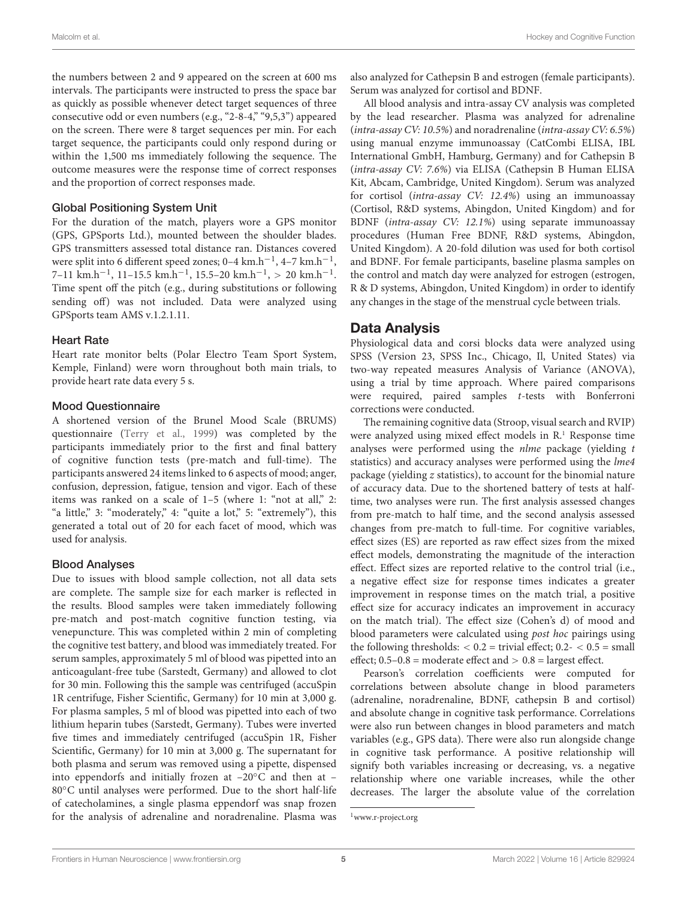the numbers between 2 and 9 appeared on the screen at 600 ms intervals. The participants were instructed to press the space bar as quickly as possible whenever detect target sequences of three consecutive odd or even numbers (e.g., "2-8-4," "9,5,3") appeared on the screen. There were 8 target sequences per min. For each target sequence, the participants could only respond during or within the 1,500 ms immediately following the sequence. The outcome measures were the response time of correct responses and the proportion of correct responses made.

## Global Positioning System Unit

For the duration of the match, players wore a GPS monitor (GPS, GPSports Ltd.), mounted between the shoulder blades. GPS transmitters assessed total distance ran. Distances covered were split into 6 different speed zones; 0–4 km.h<sup>-1</sup>, 4–7 km.h<sup>-1</sup>, 7–11  $\text{km.h}^{-1}$ , 11–15.5  $\text{km.h}^{-1}$ , 15.5–20  $\text{km.h}^{-1}$ , > 20  $\text{km.h}^{-1}$ . Time spent off the pitch (e.g., during substitutions or following sending off) was not included. Data were analyzed using GPSports team AMS v.1.2.1.11.

## Heart Rate

Heart rate monitor belts (Polar Electro Team Sport System, Kemple, Finland) were worn throughout both main trials, to provide heart rate data every 5 s.

## Mood Questionnaire

A shortened version of the Brunel Mood Scale (BRUMS) questionnaire [\(Terry et al.,](#page-10-25) [1999\)](#page-10-25) was completed by the participants immediately prior to the first and final battery of cognitive function tests (pre-match and full-time). The participants answered 24 items linked to 6 aspects of mood; anger, confusion, depression, fatigue, tension and vigor. Each of these items was ranked on a scale of 1-5 (where 1: "not at all," 2: "a little," 3: "moderately," 4: "quite a lot," 5: "extremely"), this generated a total out of 20 for each facet of mood, which was used for analysis.

#### Blood Analyses

Due to issues with blood sample collection, not all data sets are complete. The sample size for each marker is reflected in the results. Blood samples were taken immediately following pre-match and post-match cognitive function testing, via venepuncture. This was completed within 2 min of completing the cognitive test battery, and blood was immediately treated. For serum samples, approximately 5 ml of blood was pipetted into an anticoagulant-free tube (Sarstedt, Germany) and allowed to clot for 30 min. Following this the sample was centrifuged (accuSpin 1R centrifuge, Fisher Scientific, Germany) for 10 min at 3,000 g. For plasma samples, 5 ml of blood was pipetted into each of two lithium heparin tubes (Sarstedt, Germany). Tubes were inverted five times and immediately centrifuged (accuSpin 1R, Fisher Scientific, Germany) for 10 min at 3,000 g. The supernatant for both plasma and serum was removed using a pipette, dispensed into eppendorfs and initially frozen at  $-20\degree$ C and then at  $-$ 80◦C until analyses were performed. Due to the short half-life of catecholamines, a single plasma eppendorf was snap frozen for the analysis of adrenaline and noradrenaline. Plasma was also analyzed for Cathepsin B and estrogen (female participants). Serum was analyzed for cortisol and BDNF.

All blood analysis and intra-assay CV analysis was completed by the lead researcher. Plasma was analyzed for adrenaline (intra-assay CV: 10.5%) and noradrenaline (intra-assay CV: 6.5%) using manual enzyme immunoassay (CatCombi ELISA, IBL International GmbH, Hamburg, Germany) and for Cathepsin B (intra-assay CV: 7.6%) via ELISA (Cathepsin B Human ELISA Kit, Abcam, Cambridge, United Kingdom). Serum was analyzed for cortisol (intra-assay CV: 12.4%) using an immunoassay (Cortisol, R&D systems, Abingdon, United Kingdom) and for BDNF (intra-assay CV: 12.1%) using separate immunoassay procedures (Human Free BDNF, R&D systems, Abingdon, United Kingdom). A 20-fold dilution was used for both cortisol and BDNF. For female participants, baseline plasma samples on the control and match day were analyzed for estrogen (estrogen, R & D systems, Abingdon, United Kingdom) in order to identify any changes in the stage of the menstrual cycle between trials.

# Data Analysis

Physiological data and corsi blocks data were analyzed using SPSS (Version 23, SPSS Inc., Chicago, Il, United States) via two-way repeated measures Analysis of Variance (ANOVA), using a trial by time approach. Where paired comparisons were required, paired samples t-tests with Bonferroni corrections were conducted.

The remaining cognitive data (Stroop, visual search and RVIP) were analyzed using mixed effect models in R.<sup>[1](#page-4-0)</sup> Response time analyses were performed using the nlme package (yielding t statistics) and accuracy analyses were performed using the lme4 package (yielding z statistics), to account for the binomial nature of accuracy data. Due to the shortened battery of tests at halftime, two analyses were run. The first analysis assessed changes from pre-match to half time, and the second analysis assessed changes from pre-match to full-time. For cognitive variables, effect sizes (ES) are reported as raw effect sizes from the mixed effect models, demonstrating the magnitude of the interaction effect. Effect sizes are reported relative to the control trial (i.e., a negative effect size for response times indicates a greater improvement in response times on the match trial, a positive effect size for accuracy indicates an improvement in accuracy on the match trial). The effect size (Cohen's d) of mood and blood parameters were calculated using post hoc pairings using the following thresholds:  $< 0.2$  = trivial effect;  $0.2 - < 0.5$  = small effect;  $0.5-0.8$  = moderate effect and  $> 0.8$  = largest effect.

Pearson's correlation coefficients were computed for correlations between absolute change in blood parameters (adrenaline, noradrenaline, BDNF, cathepsin B and cortisol) and absolute change in cognitive task performance. Correlations were also run between changes in blood parameters and match variables (e.g., GPS data). There were also run alongside change in cognitive task performance. A positive relationship will signify both variables increasing or decreasing, vs. a negative relationship where one variable increases, while the other decreases. The larger the absolute value of the correlation

<span id="page-4-0"></span><sup>1</sup>[www.r-project.org](http://www.r-project.org)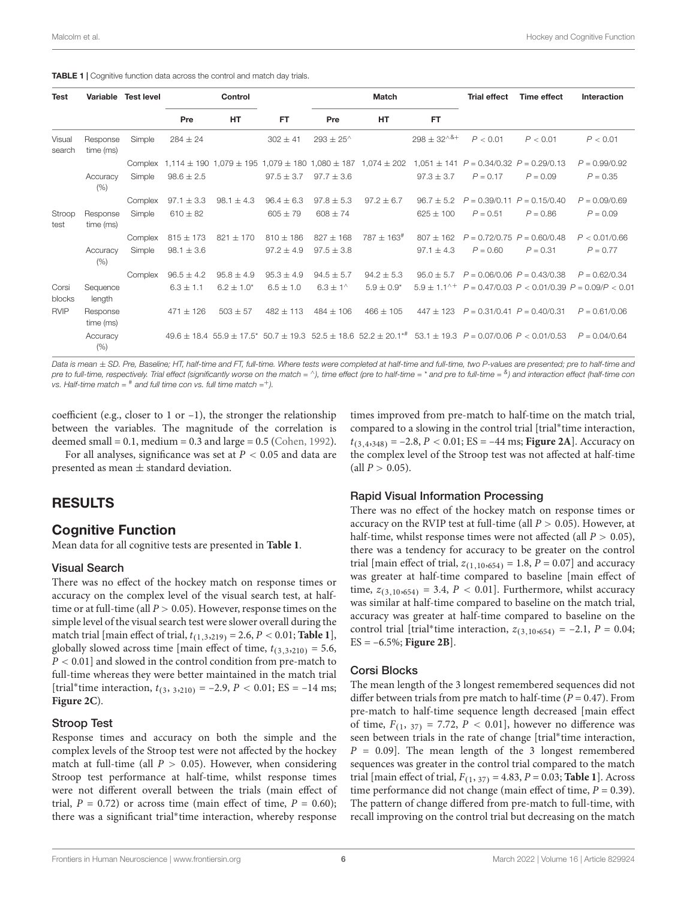<span id="page-5-0"></span>

| <b>Test</b>      |                       | Variable Test level |                | Control                          |                |                      | Match                                                         |                    | <b>Trial effect</b> | Time effect                                                                                                                             | Interaction                                                           |
|------------------|-----------------------|---------------------|----------------|----------------------------------|----------------|----------------------|---------------------------------------------------------------|--------------------|---------------------|-----------------------------------------------------------------------------------------------------------------------------------------|-----------------------------------------------------------------------|
|                  |                       |                     | Pre            | <b>HT</b>                        | FT.            | Pre                  | <b>HT</b>                                                     | FT.                |                     |                                                                                                                                         |                                                                       |
| Visual<br>search | Response<br>time (ms) | Simple              | $284 \pm 24$   |                                  | $302 \pm 41$   | $293 \pm 25^{\circ}$ |                                                               | $298 \pm 32^{8} +$ | P < 0.01            | P < 0.01                                                                                                                                | P < 0.01                                                              |
|                  |                       |                     |                |                                  |                |                      |                                                               |                    |                     | Complex 1,114 $\pm$ 190 1,079 $\pm$ 195 1,079 $\pm$ 180 1,080 $\pm$ 187 1,074 $\pm$ 202 1,051 $\pm$ 141 $P = 0.34/0.32$ $P = 0.29/0.13$ | $P = 0.99/0.92$                                                       |
|                  | Accuracy<br>(% )      | Simple              | $98.6 \pm 2.5$ |                                  | $97.5 \pm 3.7$ | $97.7 \pm 3.6$       |                                                               | $97.3 \pm 3.7$     | $P = 0.17$          | $P = 0.09$                                                                                                                              | $P = 0.35$                                                            |
|                  |                       | Complex             | $97.1 \pm 3.3$ | $98.1 \pm 4.3$                   | $96.4 \pm 6.3$ | $97.8 \pm 5.3$       | $97.2 + 6.7$                                                  | $96.7 \pm 5.2$     |                     | $P = 0.39/0.11$ $P = 0.15/0.40$                                                                                                         | $P = 0.09/0.69$                                                       |
| Stroop<br>test   | Response<br>time (ms) | Simple              | $610 \pm 82$   |                                  | $605 \pm 79$   | $608 \pm 74$         |                                                               | $625 + 100$        | $P = 0.51$          | $P = 0.86$                                                                                                                              | $P = 0.09$                                                            |
|                  |                       | Complex             | $815 \pm 173$  | $821 \pm 170$                    | $810 \pm 186$  | $827 \pm 168$        | $787 \pm 163^{\text{*}}$                                      | $807 \pm 162$      |                     | $P = 0.72/0.75$ $P = 0.60/0.48$                                                                                                         | P < 0.01/0.66                                                         |
|                  | Accuracy<br>(% )      | Simple              | $98.1 \pm 3.6$ |                                  | $97.2 \pm 4.9$ | $97.5 \pm 3.8$       |                                                               | $97.1 \pm 4.3$     | $P = 0.60$          | $P = 0.31$                                                                                                                              | $P = 0.77$                                                            |
|                  |                       | Complex             | $96.5 \pm 4.2$ | $95.8 \pm 4.9$                   | $95.3 \pm 4.9$ | $94.5 \pm 5.7$       | $94.2 \pm 5.3$                                                |                    |                     | $95.0 \pm 5.7$ $P = 0.06/0.06$ $P = 0.43/0.38$                                                                                          | $P = 0.62/0.34$                                                       |
| Corsi<br>blocks  | Sequence<br>length    |                     | $6.3 + 1.1$    | $6.2 + 1.0*$                     | $6.5 + 1.0$    | $6.3 \pm 1^{\circ}$  | $5.9 \pm 0.9*$                                                |                    |                     |                                                                                                                                         | $5.9 \pm 1.1^{\circ +}$ P = 0.47/0.03 P < 0.01/0.39 P = 0.09/P < 0.01 |
| <b>RVIP</b>      | Response<br>time (ms) |                     | $471 \pm 126$  | $503 + 57$                       | $482 \pm 113$  | $484 \pm 106$        | $466 \pm 105$                                                 |                    |                     | $447 \pm 123$ $P = 0.31/0.41$ $P = 0.40/0.31$                                                                                           | $P = 0.61/0.06$                                                       |
|                  | Accuracy<br>(% )      |                     |                | $49.6 \pm 18.4$ 55.9 $\pm$ 17.5* |                |                      | $50.7 \pm 19.3$ 52.5 $\pm$ 18.6 52.2 $\pm$ 20.1 <sup>*#</sup> |                    |                     | $53.1 \pm 19.3$ $P = 0.07/0.06$ $P < 0.01/0.53$                                                                                         | $P = 0.04/0.64$                                                       |

Data is mean  $\pm$  SD. Pre, Baseline; HT, half-time and FT, full-time. Where tests were completed at half-time and full-time, two P-values are presented; pre to half-time and pre to full-time, respectively. Trial effect (significantly worse on the match = ^), time effect (pre to half-time = \* and pre to full-time = <sup>&</sup>) and interaction effect (half-time con vs. Half-time match =  $^*$  and full time con vs. full time match =  $^+$ ).

coefficient (e.g., closer to 1 or  $-1$ ), the stronger the relationship between the variables. The magnitude of the correlation is deemed small =  $0.1$ , medium =  $0.3$  and large =  $0.5$  [\(Cohen,](#page-9-5) [1992\)](#page-9-5).

For all analyses, significance was set at  $P < 0.05$  and data are presented as mean  $\pm$  standard deviation.

# RESULTS

# Cognitive Function

Mean data for all cognitive tests are presented in **[Table 1](#page-5-0)**.

## Visual Search

There was no effect of the hockey match on response times or accuracy on the complex level of the visual search test, at halftime or at full-time (all  $P > 0.05$ ). However, response times on the simple level of the visual search test were slower overall during the match trial [main effect of trial,  $t_{(1,3,219)} = 2.6, P < 0.01$ ; **[Table 1](#page-5-0)**], globally slowed across time [main effect of time,  $t_{(3,3,210)} = 5.6$ ,  $P < 0.01$  and slowed in the control condition from pre-match to full-time whereas they were better maintained in the match trial [trial\*time interaction,  $t_{(3, 3, 210)} = -2.9, P < 0.01; ES = -14$  ms; **[Figure 2C](#page-6-0)**).

#### Stroop Test

Response times and accuracy on both the simple and the complex levels of the Stroop test were not affected by the hockey match at full-time (all  $P > 0.05$ ). However, when considering Stroop test performance at half-time, whilst response times were not different overall between the trials (main effect of trial,  $P = 0.72$ ) or across time (main effect of time,  $P = 0.60$ ); there was a significant trial<sup>∗</sup> time interaction, whereby response

times improved from pre-match to half-time on the match trial, compared to a slowing in the control trial [trial\*time interaction,  $t_{(3,4,348)} = -2.8, P < 0.01$ ; ES = -44 ms; **[Figure 2A](#page-6-0)**]. Accuracy on the complex level of the Stroop test was not affected at half-time  $\text{(all } P > 0.05\text{).}$ 

## Rapid Visual Information Processing

There was no effect of the hockey match on response times or accuracy on the RVIP test at full-time (all  $P > 0.05$ ). However, at half-time, whilst response times were not affected (all  $P > 0.05$ ), there was a tendency for accuracy to be greater on the control trial [main effect of trial,  $z_{(1,10,654)} = 1.8$ ,  $P = 0.07$ ] and accuracy was greater at half-time compared to baseline [main effect of time,  $z_{(3,10,654)} = 3.4$ ,  $P < 0.01$ ]. Furthermore, whilst accuracy was similar at half-time compared to baseline on the match trial, accuracy was greater at half-time compared to baseline on the control trial [trial\*time interaction,  $z_{(3,10,654)} = -2.1$ ,  $P = 0.04$ ; ES = –6.5%; **[Figure 2B](#page-6-0)**].

## Corsi Blocks

The mean length of the 3 longest remembered sequences did not differ between trials from pre match to half-time ( $P = 0.47$ ). From pre-match to half-time sequence length decreased [main effect of time,  $F_{(1, 37)} = 7.72$ ,  $P < 0.01$ , however no difference was seen between trials in the rate of change [trial\*time interaction,  $P = 0.09$ . The mean length of the 3 longest remembered sequences was greater in the control trial compared to the match trial [main effect of trial,  $F_{(1, 37)} = 4.83$ ,  $P = 0.03$ ; **[Table 1](#page-5-0)**]. Across time performance did not change (main effect of time,  $P = 0.39$ ). The pattern of change differed from pre-match to full-time, with recall improving on the control trial but decreasing on the match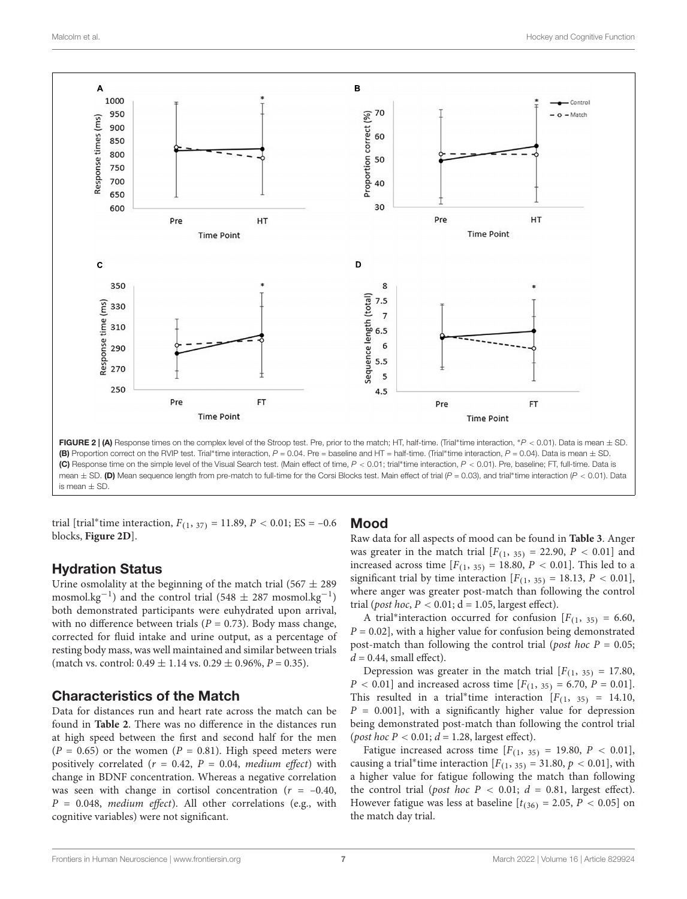

<span id="page-6-0"></span>(B) Proportion correct on the RVIP test. Trial\*time interaction,  $P = 0.04$ . Pre = baseline and HT = half-time. (Trial\*time interaction,  $P = 0.04$ ). Data is mean  $\pm$  SD. (C) Response time on the simple level of the Visual Search test. (Main effect of time, P < 0.01; trial\*time interaction, P < 0.01). Pre, baseline; FT, full-time. Data is mean  $\pm$  SD. (D) Mean sequence length from pre-match to full-time for the Corsi Blocks test. Main effect of trial (P = 0.03), and trial\*time interaction (P < 0.01). Data is mean ± SD.

trial [trial\*time interaction,  $F_{(1, 37)} = 11.89, P < 0.01; E.S = -0.6$ blocks, **[Figure 2D](#page-6-0)**].

# Hydration Status

Urine osmolality at the beginning of the match trial (567  $\pm$  289 mosmol.kg<sup>-1</sup>) and the control trial (548  $\pm$  287 mosmol.kg<sup>-1</sup>) both demonstrated participants were euhydrated upon arrival, with no difference between trials ( $P = 0.73$ ). Body mass change, corrected for fluid intake and urine output, as a percentage of resting body mass, was well maintained and similar between trials (match vs. control:  $0.49 \pm 1.14$  vs.  $0.29 \pm 0.96$ %,  $P = 0.35$ ).

# Characteristics of the Match

Data for distances run and heart rate across the match can be found in **[Table 2](#page-7-0)**. There was no difference in the distances run at high speed between the first and second half for the men  $(P = 0.65)$  or the women  $(P = 0.81)$ . High speed meters were positively correlated ( $r = 0.42$ ,  $P = 0.04$ , medium effect) with change in BDNF concentration. Whereas a negative correlation was seen with change in cortisol concentration ( $r = -0.40$ ,  $P = 0.048$ , medium effect). All other correlations (e.g., with cognitive variables) were not significant.

# Mood

Raw data for all aspects of mood can be found in **[Table 3](#page-7-1)**. Anger was greater in the match trial  $[F(1, 35) = 22.90, P < 0.01]$  and increased across time  $[F(1, 35) = 18.80, P < 0.01]$ . This led to a significant trial by time interaction  $[F(1, 35) = 18.13, P < 0.01]$ , where anger was greater post-match than following the control trial (*post hoc*,  $P < 0.01$ ;  $d = 1.05$ , largest effect).

A trial\*interaction occurred for confusion  $[F_{(1, 35)} = 6.60,$  $P = 0.02$ ], with a higher value for confusion being demonstrated post-match than following the control trial (*post hoc*  $P = 0.05$ ;  $d = 0.44$ , small effect).

Depression was greater in the match trial  $[F(1, 35) = 17.80]$ ,  $P < 0.01$ ] and increased across time  $[F_{(1, 35)} = 6.70, P = 0.01]$ . This resulted in a trial<sup>\*</sup>time interaction  $[F(1, 35) = 14.10,$  $P = 0.001$ , with a significantly higher value for depression being demonstrated post-match than following the control trial (post hoc  $P < 0.01$ ;  $d = 1.28$ , largest effect).

Fatigue increased across time  $[F(1, 35) = 19.80, P < 0.01]$ , causing a trial\*time interaction  $[F(1, 35) = 31.80, p < 0.01]$ , with a higher value for fatigue following the match than following the control trial (post hoc  $P < 0.01$ ;  $d = 0.81$ , largest effect). However fatigue was less at baseline  $[t_{(36)} = 2.05, P < 0.05]$  on the match day trial.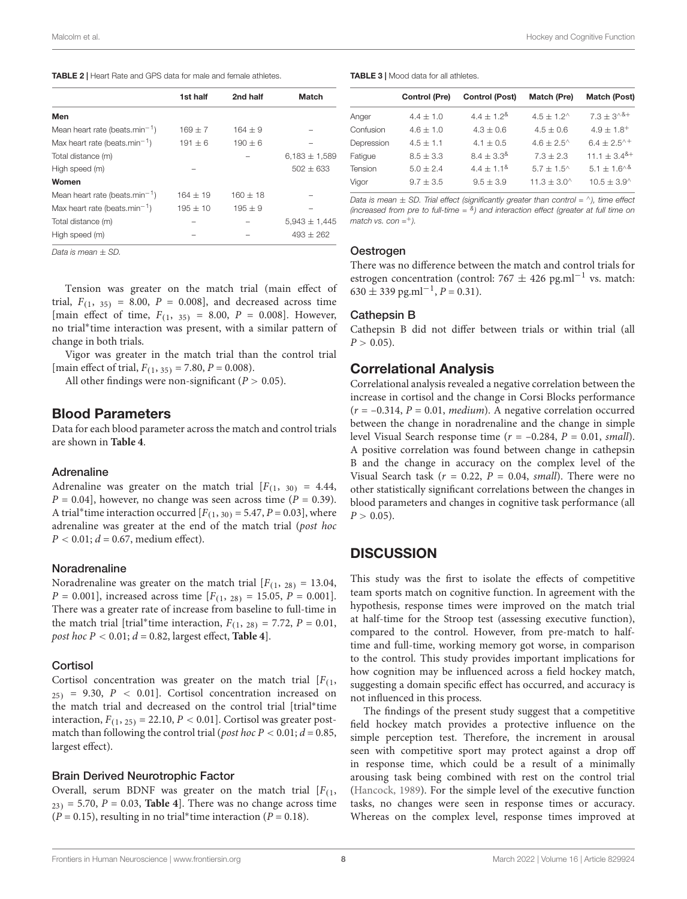<span id="page-7-0"></span>

|  |  |  | TABLE 2   Heart Rate and GPS data for male and female athletes. |
|--|--|--|-----------------------------------------------------------------|
|--|--|--|-----------------------------------------------------------------|

|                                            | 1st half    | 2nd half   | <b>Match</b>      |
|--------------------------------------------|-------------|------------|-------------------|
| Men                                        |             |            |                   |
| Mean heart rate (beats.min <sup>-1</sup> ) | $169 + 7$   | $164 + 9$  |                   |
| Max heart rate (beats.min <sup>-1</sup> )  | $191 \pm 6$ | $190 + 6$  |                   |
| Total distance (m)                         |             |            | $6,183 \pm 1,589$ |
| High speed (m)                             |             |            | $502 + 633$       |
| Women                                      |             |            |                   |
| Mean heart rate (beats.min <sup>-1</sup> ) | $164 + 19$  | $160 + 18$ |                   |
| Max heart rate (beats.min <sup>-1</sup> )  | $195 + 10$  | $195 + 9$  |                   |
| Total distance (m)                         |             |            | $5,943 \pm 1,445$ |
| High speed (m)                             |             |            | $493 + 262$       |

Data is mean  $\pm$  SD.

Tension was greater on the match trial (main effect of trial,  $F_{(1, 35)} = 8.00$ ,  $P = 0.008$ , and decreased across time [main effect of time,  $F_{(1, 35)} = 8.00$ ,  $P = 0.008$ ]. However, no trial<sup>∗</sup> time interaction was present, with a similar pattern of change in both trials.

Vigor was greater in the match trial than the control trial [main effect of trial,  $F_{(1, 35)} = 7.80$ ,  $P = 0.008$ ).

All other findings were non-significant ( $P > 0.05$ ).

## Blood Parameters

Data for each blood parameter across the match and control trials are shown in **[Table 4](#page-8-0)**.

#### Adrenaline

Adrenaline was greater on the match trial  $[F(1, 30) = 4.44,$  $P = 0.04$ , however, no change was seen across time ( $P = 0.39$ ). A trial\*time interaction occurred  $[F(1, 30) = 5.47, P = 0.03]$ , where adrenaline was greater at the end of the match trial (post hoc  $P < 0.01$ ;  $d = 0.67$ , medium effect).

#### Noradrenaline

Noradrenaline was greater on the match trial  $[F(1, 28) = 13.04,$  $P = 0.001$ ], increased across time  $[F_{(1, 28)} = 15.05, P = 0.001]$ . There was a greater rate of increase from baseline to full-time in the match trial [trial\*time interaction,  $F_{(1, 28)} = 7.72$ ,  $P = 0.01$ , post hoc  $P < 0.01$ ;  $d = 0.82$ , largest effect, **[Table 4](#page-8-0)**].

#### **Cortisol**

Cortisol concentration was greater on the match trial  $[F_{(1)},$  $25)$  = 9.30,  $P < 0.01$ ]. Cortisol concentration increased on the match trial and decreased on the control trial [trial<sup>∗</sup> time interaction,  $F_{(1, 25)} = 22.10, P < 0.01$ . Cortisol was greater postmatch than following the control trial (*post hoc P* < 0.01;  $d = 0.85$ , largest effect).

#### Brain Derived Neurotrophic Factor

Overall, serum BDNF was greater on the match trial  $[F_{(1)},$  $23$ ) = 5.70,  $P = 0.03$ , **[Table 4](#page-8-0)**. There was no change across time  $(P = 0.15)$ , resulting in no trial\*time interaction  $(P = 0.18)$ .

<span id="page-7-1"></span>

| <b>TABLE 3</b>   Mood data for all athletes. |  |  |  |
|----------------------------------------------|--|--|--|
|----------------------------------------------|--|--|--|

|            | <b>Control (Pre)</b> | <b>Control (Post)</b> | Match (Pre)          | Match (Post)                                 |
|------------|----------------------|-----------------------|----------------------|----------------------------------------------|
| Anger      | $4.4 + 1.0$          | $4.4 + 1.2^8$         | $4.5 + 1.2^{\wedge}$ | $7.3 \pm 3^{8}$                              |
| Confusion  | $4.6 + 1.0$          | $4.3 + 0.6$           | $4.5 + 0.6$          | $4.9 \pm 1.8^{+}$                            |
| Depression | $4.5 + 1.1$          | $4.1 + 0.5$           | $4.6 + 2.5^{\circ}$  | $6.4 \pm 2.5^{\wedge +}$                     |
| Fatigue    | $8.5 + 3.3$          | $8.4 + 3.3^8$         | $7.3 + 2.3$          | $11.1 \pm 3.4$ <sup>&amp;+</sup>             |
| Tension    | $5.0 + 2.4$          | $4.4 + 1.1^8$         | $5.7 + 1.5^{\circ}$  | $5.1 \pm 1.6$ <sup>A&amp;</sup>              |
| Vigor      | $9.7 + 3.5$          | $9.5 + 3.9$           | $11.3 + 3.0^{\circ}$ | $10.5 \pm 3.9$ <sup><math>\land</math></sup> |

Data is mean  $\pm$  SD. Trial effect (significantly greater than control =  $\land$ ), time effect (increased from pre to full-time  $=$   $^{8}$ ) and interaction effect (greater at full time on match vs. con  $=$ <sup>+</sup>).

#### Oestrogen

There was no difference between the match and control trials for estrogen concentration (control:  $767 \pm 426$  pg.ml<sup>-1</sup> vs. match:  $630 \pm 339$  pg.ml<sup>-1</sup>,  $P = 0.31$ ).

#### Cathepsin B

Cathepsin B did not differ between trials or within trial (all  $P > 0.05$ ).

# Correlational Analysis

Correlational analysis revealed a negative correlation between the increase in cortisol and the change in Corsi Blocks performance  $(r = -0.314, P = 0.01, medium)$ . A negative correlation occurred between the change in noradrenaline and the change in simple level Visual Search response time ( $r = -0.284$ ,  $P = 0.01$ , small). A positive correlation was found between change in cathepsin B and the change in accuracy on the complex level of the Visual Search task ( $r = 0.22$ ,  $P = 0.04$ , small). There were no other statistically significant correlations between the changes in blood parameters and changes in cognitive task performance (all  $P > 0.05$ ).

# **DISCUSSION**

This study was the first to isolate the effects of competitive team sports match on cognitive function. In agreement with the hypothesis, response times were improved on the match trial at half-time for the Stroop test (assessing executive function), compared to the control. However, from pre-match to halftime and full-time, working memory got worse, in comparison to the control. This study provides important implications for how cognition may be influenced across a field hockey match, suggesting a domain specific effect has occurred, and accuracy is not influenced in this process.

The findings of the present study suggest that a competitive field hockey match provides a protective influence on the simple perception test. Therefore, the increment in arousal seen with competitive sport may protect against a drop off in response time, which could be a result of a minimally arousing task being combined with rest on the control trial [\(Hancock,](#page-10-26) [1989\)](#page-10-26). For the simple level of the executive function tasks, no changes were seen in response times or accuracy. Whereas on the complex level, response times improved at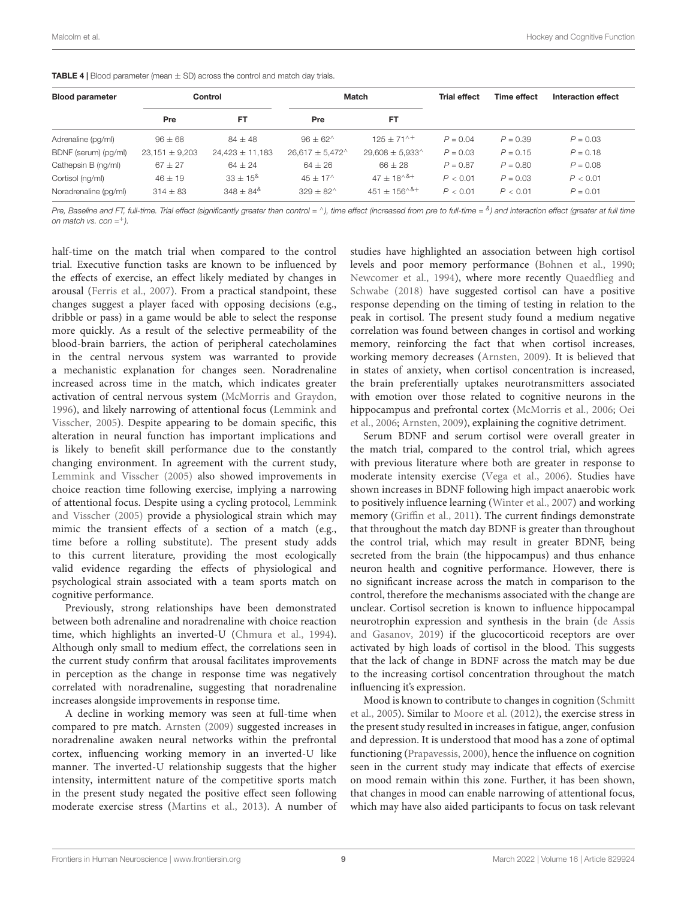| <b>Blood parameter</b> | Control            |                     | Match                      |                            | <b>Trial effect</b> | Time effect | Interaction effect |
|------------------------|--------------------|---------------------|----------------------------|----------------------------|---------------------|-------------|--------------------|
|                        | Pre                | <b>FT</b>           | Pre                        | FT                         |                     |             |                    |
| Adrenaline (pg/ml)     | $96 \pm 68$        | $84 \pm 48$         | $96 \pm 62^{\circ}$        | $125 + 71^{+}$             | $P = 0.04$          | $P = 0.39$  | $P = 0.03$         |
| BDNF (serum) (pg/ml)   | $23,151 \pm 9,203$ | $24,423 \pm 11,183$ | $26,617 \pm 5,472^{\circ}$ | $29,608 \pm 5,933^{\circ}$ | $P = 0.03$          | $P = 0.15$  | $P = 0.18$         |
| Cathepsin B (ng/ml)    | $67 \pm 27$        | $64 \pm 24$         | $64 \pm 26$                | $66 \pm 28$                | $P = 0.87$          | $P = 0.80$  | $P = 0.08$         |
| Cortisol (ng/ml)       | $46 \pm 19$        | $33 \pm 15^8$       | $45 + 17^{\circ}$          | $47 + 18^{\text{A}}$       | P < 0.01            | $P = 0.03$  | P < 0.01           |
| Noradrenaline (pg/ml)  | $314 \pm 83$       | $348 \pm 84^8$      | $329 \pm 82^{\circ}$       | $451 \pm 156^{\circ}$ & +  | P < 0.01            | P < 0.01    | $P = 0.01$         |

<span id="page-8-0"></span>**TABLE 4** | Blood parameter (mean  $\pm$  SD) across the control and match day trials.

Pre, Baseline and FT, full-time. Trial effect (significantly greater than control = ^), time effect (increased from pre to full-time =  $^8$ ) and interaction effect (greater at full time on match vs. con  $=$ <sup>+</sup>).

half-time on the match trial when compared to the control trial. Executive function tasks are known to be influenced by the effects of exercise, an effect likely mediated by changes in arousal [\(Ferris et al.,](#page-10-27) [2007\)](#page-10-27). From a practical standpoint, these changes suggest a player faced with opposing decisions (e.g., dribble or pass) in a game would be able to select the response more quickly. As a result of the selective permeability of the blood-brain barriers, the action of peripheral catecholamines in the central nervous system was warranted to provide a mechanistic explanation for changes seen. Noradrenaline increased across time in the match, which indicates greater activation of central nervous system [\(McMorris and Graydon,](#page-10-28) [1996\)](#page-10-28), and likely narrowing of attentional focus [\(Lemmink and](#page-10-29) [Visscher,](#page-10-29) [2005\)](#page-10-29). Despite appearing to be domain specific, this alteration in neural function has important implications and is likely to benefit skill performance due to the constantly changing environment. In agreement with the current study, [Lemmink and Visscher](#page-10-29) [\(2005\)](#page-10-29) also showed improvements in choice reaction time following exercise, implying a narrowing of attentional focus. Despite using a cycling protocol, [Lemmink](#page-10-29) [and Visscher](#page-10-29) [\(2005\)](#page-10-29) provide a physiological strain which may mimic the transient effects of a section of a match (e.g., time before a rolling substitute). The present study adds to this current literature, providing the most ecologically valid evidence regarding the effects of physiological and psychological strain associated with a team sports match on cognitive performance.

Previously, strong relationships have been demonstrated between both adrenaline and noradrenaline with choice reaction time, which highlights an inverted-U [\(Chmura et al.,](#page-9-6) [1994\)](#page-9-6). Although only small to medium effect, the correlations seen in the current study confirm that arousal facilitates improvements in perception as the change in response time was negatively correlated with noradrenaline, suggesting that noradrenaline increases alongside improvements in response time.

A decline in working memory was seen at full-time when compared to pre match. [Arnsten](#page-9-1) [\(2009\)](#page-9-1) suggested increases in noradrenaline awaken neural networks within the prefrontal cortex, influencing working memory in an inverted-U like manner. The inverted-U relationship suggests that the higher intensity, intermittent nature of the competitive sports match in the present study negated the positive effect seen following moderate exercise stress [\(Martins et al.,](#page-10-30) [2013\)](#page-10-30). A number of studies have highlighted an association between high cortisol levels and poor memory performance [\(Bohnen et al.,](#page-9-7) [1990;](#page-9-7) [Newcomer et al.,](#page-10-31) [1994\)](#page-10-31), where more recently [Quaedflieg and](#page-10-32) [Schwabe](#page-10-32) [\(2018\)](#page-10-32) have suggested cortisol can have a positive response depending on the timing of testing in relation to the peak in cortisol. The present study found a medium negative correlation was found between changes in cortisol and working memory, reinforcing the fact that when cortisol increases, working memory decreases [\(Arnsten,](#page-9-1) [2009\)](#page-9-1). It is believed that in states of anxiety, when cortisol concentration is increased, the brain preferentially uptakes neurotransmitters associated with emotion over those related to cognitive neurons in the hippocampus and prefrontal cortex [\(McMorris et al.,](#page-10-12) [2006;](#page-10-12) [Oei](#page-10-14) [et al.,](#page-10-14) [2006;](#page-10-14) [Arnsten,](#page-9-1) [2009\)](#page-9-1), explaining the cognitive detriment.

Serum BDNF and serum cortisol were overall greater in the match trial, compared to the control trial, which agrees with previous literature where both are greater in response to moderate intensity exercise [\(Vega et al.,](#page-10-33) [2006\)](#page-10-33). Studies have shown increases in BDNF following high impact anaerobic work to positively influence learning [\(Winter et al.,](#page-10-9) [2007\)](#page-10-9) and working memory [\(Griffin et al.,](#page-10-10) [2011\)](#page-10-10). The current findings demonstrate that throughout the match day BDNF is greater than throughout the control trial, which may result in greater BDNF, being secreted from the brain (the hippocampus) and thus enhance neuron health and cognitive performance. However, there is no significant increase across the match in comparison to the control, therefore the mechanisms associated with the change are unclear. Cortisol secretion is known to influence hippocampal neurotrophin expression and synthesis in the brain [\(de Assis](#page-10-34) [and Gasanov,](#page-10-34) [2019\)](#page-10-34) if the glucocorticoid receptors are over activated by high loads of cortisol in the blood. This suggests that the lack of change in BDNF across the match may be due to the increasing cortisol concentration throughout the match influencing it's expression.

Mood is known to contribute to changes in cognition [\(Schmitt](#page-10-3) [et al.,](#page-10-3) [2005\)](#page-10-3). Similar to [Moore et al.](#page-10-35) [\(2012\)](#page-10-35), the exercise stress in the present study resulted in increases in fatigue, anger, confusion and depression. It is understood that mood has a zone of optimal functioning [\(Prapavessis,](#page-10-36) [2000\)](#page-10-36), hence the influence on cognition seen in the current study may indicate that effects of exercise on mood remain within this zone. Further, it has been shown, that changes in mood can enable narrowing of attentional focus, which may have also aided participants to focus on task relevant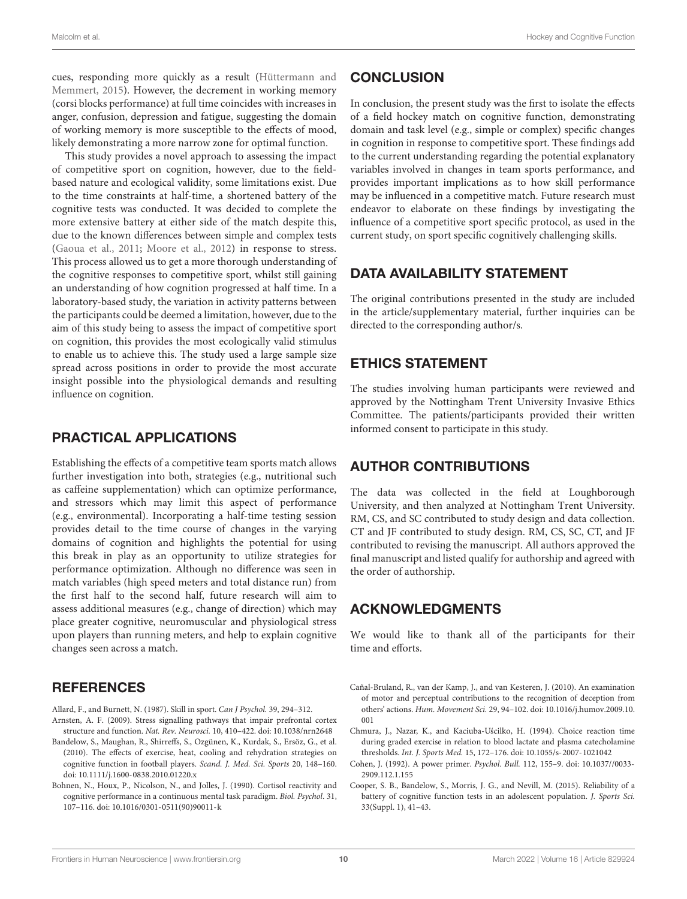cues, responding more quickly as a result [\(Hüttermann and](#page-10-37) [Memmert,](#page-10-37) [2015\)](#page-10-37). However, the decrement in working memory (corsi blocks performance) at full time coincides with increases in anger, confusion, depression and fatigue, suggesting the domain of working memory is more susceptible to the effects of mood, likely demonstrating a more narrow zone for optimal function.

This study provides a novel approach to assessing the impact of competitive sport on cognition, however, due to the fieldbased nature and ecological validity, some limitations exist. Due to the time constraints at half-time, a shortened battery of the cognitive tests was conducted. It was decided to complete the more extensive battery at either side of the match despite this, due to the known differences between simple and complex tests [\(Gaoua et al.,](#page-10-18) [2011;](#page-10-18) [Moore et al.,](#page-10-35) [2012\)](#page-10-35) in response to stress. This process allowed us to get a more thorough understanding of the cognitive responses to competitive sport, whilst still gaining an understanding of how cognition progressed at half time. In a laboratory-based study, the variation in activity patterns between the participants could be deemed a limitation, however, due to the aim of this study being to assess the impact of competitive sport on cognition, this provides the most ecologically valid stimulus to enable us to achieve this. The study used a large sample size spread across positions in order to provide the most accurate insight possible into the physiological demands and resulting influence on cognition.

# PRACTICAL APPLICATIONS

Establishing the effects of a competitive team sports match allows further investigation into both, strategies (e.g., nutritional such as caffeine supplementation) which can optimize performance, and stressors which may limit this aspect of performance (e.g., environmental). Incorporating a half-time testing session provides detail to the time course of changes in the varying domains of cognition and highlights the potential for using this break in play as an opportunity to utilize strategies for performance optimization. Although no difference was seen in match variables (high speed meters and total distance run) from the first half to the second half, future research will aim to assess additional measures (e.g., change of direction) which may place greater cognitive, neuromuscular and physiological stress upon players than running meters, and help to explain cognitive changes seen across a match.

# **REFERENCES**

- <span id="page-9-1"></span><span id="page-9-0"></span>Allard, F., and Burnett, N. (1987). Skill in sport. Can J Psychol. 39, 294–312. Arnsten, A. F. (2009). Stress signalling pathways that impair prefrontal cortex
- <span id="page-9-2"></span>structure and function. Nat. Rev. Neurosci. 10, 410–422. [doi: 10.1038/nrn2648](https://doi.org/10.1038/nrn2648) Bandelow, S., Maughan, R., Shirreffs, S., Ozgünen, K., Kurdak, S., Ersöz, G., et al. (2010). The effects of exercise, heat, cooling and rehydration strategies on cognitive function in football players. Scand. J. Med. Sci. Sports 20, 148–160. [doi: 10.1111/j.1600-0838.2010.01220.x](https://doi.org/10.1111/j.1600-0838.2010.01220.x)
- <span id="page-9-7"></span>Bohnen, N., Houx, P., Nicolson, N., and Jolles, J. (1990). Cortisol reactivity and cognitive performance in a continuous mental task paradigm. Biol. Psychol. 31, 107–116. [doi: 10.1016/0301-0511\(90\)90011-k](https://doi.org/10.1016/0301-0511(90)90011-k)

# **CONCLUSION**

In conclusion, the present study was the first to isolate the effects of a field hockey match on cognitive function, demonstrating domain and task level (e.g., simple or complex) specific changes in cognition in response to competitive sport. These findings add to the current understanding regarding the potential explanatory variables involved in changes in team sports performance, and provides important implications as to how skill performance may be influenced in a competitive match. Future research must endeavor to elaborate on these findings by investigating the influence of a competitive sport specific protocol, as used in the current study, on sport specific cognitively challenging skills.

# DATA AVAILABILITY STATEMENT

The original contributions presented in the study are included in the article/supplementary material, further inquiries can be directed to the corresponding author/s.

# ETHICS STATEMENT

The studies involving human participants were reviewed and approved by the Nottingham Trent University Invasive Ethics Committee. The patients/participants provided their written informed consent to participate in this study.

# AUTHOR CONTRIBUTIONS

The data was collected in the field at Loughborough University, and then analyzed at Nottingham Trent University. RM, CS, and SC contributed to study design and data collection. CT and JF contributed to study design. RM, CS, SC, CT, and JF contributed to revising the manuscript. All authors approved the final manuscript and listed qualify for authorship and agreed with the order of authorship.

# ACKNOWLEDGMENTS

We would like to thank all of the participants for their time and efforts.

- <span id="page-9-3"></span>Cañal-Bruland, R., van der Kamp, J., and van Kesteren, J. (2010). An examination of motor and perceptual contributions to the recognition of deception from others' actions. Hum. Movement Sci. 29, 94–102. [doi: 10.1016/j.humov.2009.10.](https://doi.org/10.1016/j.humov.2009.10.001) [001](https://doi.org/10.1016/j.humov.2009.10.001)
- <span id="page-9-6"></span>Chmura, J., Nazar, K., and Kaciuba-Uścilko, H. (1994). Choice reaction time during graded exercise in relation to blood lactate and plasma catecholamine thresholds. Int. J. Sports Med. 15, 172–176. [doi: 10.1055/s-2007-1021042](https://doi.org/10.1055/s-2007-1021042)
- <span id="page-9-5"></span>Cohen, J. (1992). A power primer. Psychol. Bull. 112, 155–9. [doi: 10.1037//0033-](https://doi.org/10.1037//0033-2909.112.1.155) [2909.112.1.155](https://doi.org/10.1037//0033-2909.112.1.155)
- <span id="page-9-4"></span>Cooper, S. B., Bandelow, S., Morris, J. G., and Nevill, M. (2015). Reliability of a battery of cognitive function tests in an adolescent population. J. Sports Sci. 33(Suppl. 1), 41–43.